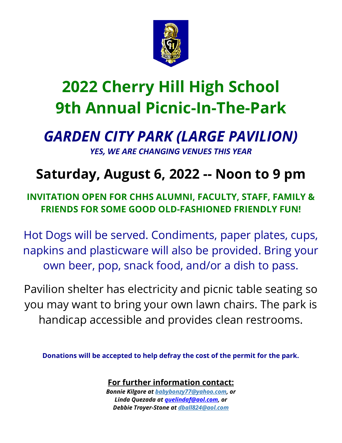

# **2022 Cherry Hill High School 9th Annual Picnic-In-The-Park**

## *GARDEN CITY PARK (LARGE PAVILION) YES, WE ARE CHANGING VENUES THIS YEAR*

## **Saturday, August 6, 2022 -- Noon to 9 pm**

### **INVITATION OPEN FOR CHHS ALUMNI, FACULTY, STAFF, FAMILY & FRIENDS FOR SOME GOOD OLD-FASHIONED FRIENDLY FUN!**

Hot Dogs will be served. Condiments, paper plates, cups, napkins and plasticware will also be provided. Bring your own beer, pop, snack food, and/or a dish to pass.

Pavilion shelter has electricity and picnic table seating so you may want to bring your own lawn chairs. The park is handicap accessible and provides clean restrooms.

**Donations will be accepted to help defray the cost of the permit for the park.**

**For further information contact:**

*Bonnie Kilgore at [babybonzy77@yahoo.com,](mailto:babybonzy77@yahoo.com) or Linda Quezada at [quelindaf@aol.com,](mailto:quelindaf@aol.com) or Debbie Troyer-Stone at [dball824@aol.com](mailto:dball824@aol.com)*